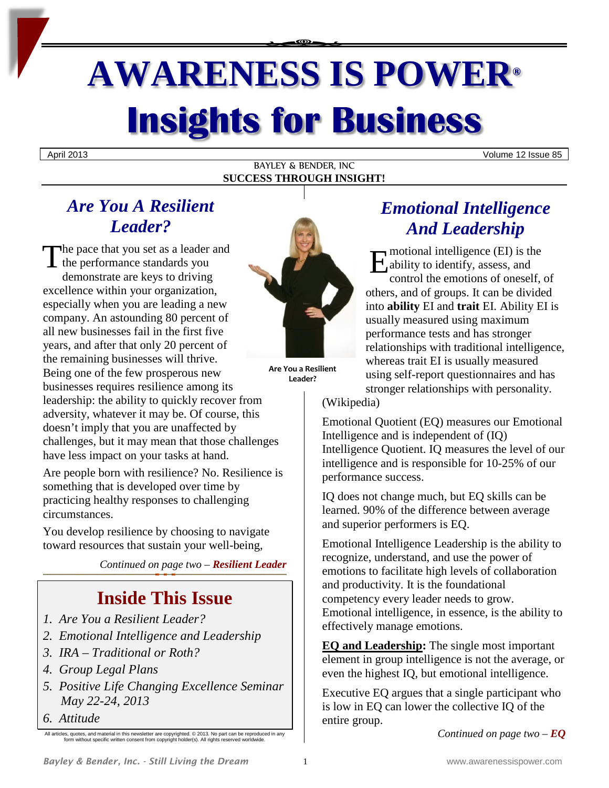# **AWARENESS IS POWER® Insights for Business**

BAYLEY & BENDER, INC **SUCCESS THROUGH INSIGHT!**

## April 2013 Volume 12 Issue 85

# *Are You A Resilient Leader?*

The pace that you set as a leader and<br>the performance standards you<br>demonstrate are keys to driving the performance standards you demonstrate are keys to driving excellence within your organization, especially when you are leading a new company. An astounding 80 percent of all new businesses fail in the first five years, and after that only 20 percent of the remaining businesses will thrive. Being one of the few prosperous new businesses requires resilience among its leadership: the ability to quickly recover from adversity, whatever it may be. Of course, this doesn't imply that you are unaffected by challenges, but it may mean that those challenges have less impact on your tasks at hand.

Are people born with resilience? No. Resilience is something that is developed over time by practicing healthy responses to challenging circumstances.

You develop resilience by choosing to navigate toward resources that sustain your well-being,

*Continued on page two – Resilient Leader*

# **Inside This Issue**

- *1. Are You a Resilient Leader?*
- *2. Emotional Intelligence and Leadership*
- *3. IRA – Traditional or Roth?*
- *4. Group Legal Plans*
- *5. Positive Life Changing Excellence Seminar May 22-24, 2013*
- *6. Attitude*



**Are You a Resilient Leader?**

# *Emotional Intelligence And Leadership*

motional intelligence (EI) is the  $\mathcal{A}_{ab}$ ability to identify, assess, and control the emotions of oneself, of others, and of groups. It can be divided into **ability** EI and **trait** EI. Ability EI is usually measured using maximum performance tests and has stronger relationships with traditional intelligence, whereas trait EI is usually measured using self-report questionnaires and has stronger relationships with personality.

(Wikipedia)

Emotional Quotient (EQ) measures our Emotional Intelligence and is independent of (IQ) Intelligence Quotient. IQ measures the level of our intelligence and is responsible for 10-25% of our performance success.

IQ does not change much, but EQ skills can be learned. 90% of the difference between average and superior performers is EQ.

Emotional Intelligence Leadership is the ability to recognize, understand, and use the power of emotions to facilitate high levels of collaboration and productivity. It is the foundational competency every leader needs to grow. Emotional intelligence, in essence, is the ability to effectively manage emotions.

**EQ and Leadership:** The single most important element in group intelligence is not the average, or even the highest IQ, but emotional intelligence.

Executive EQ argues that a single participant who is low in EQ can lower the collective IQ of the entire group.

*Continued on page two – EQ*

All articles, quotes, and material in this newsletter are copyrighted. © 2013. No part can be reproduced in any form without specific written consent from copyright holder(s). All rights reserved worldwide.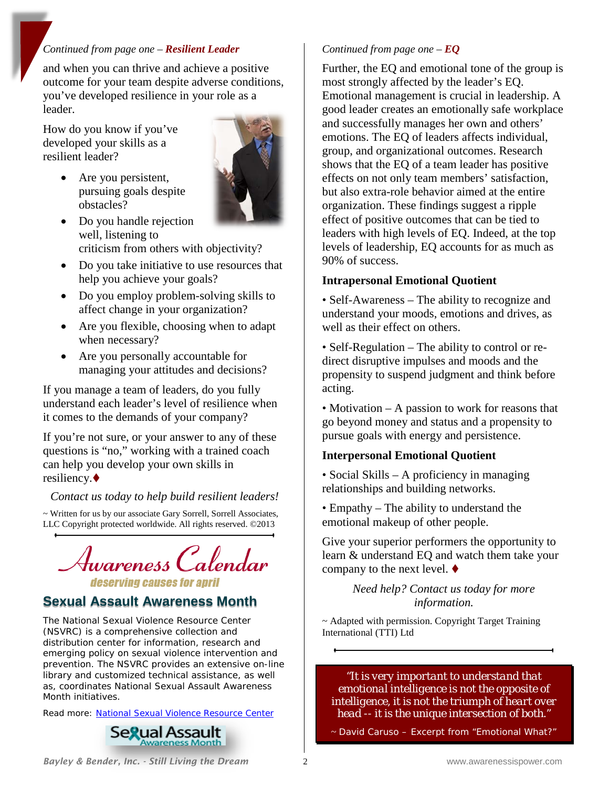## *Continued from page one – Resilient Leader*

and when you can thrive and achieve a positive outcome for your team despite adverse conditions, you've developed resilience in your role as a leader.

How do you know if you've developed your skills as a resilient leader?

> • Are you persistent, pursuing goals despite obstacles?



- Do you handle rejection well, listening to criticism from others with objectivity?
- Do you take initiative to use resources that help you achieve your goals?
- Do you employ problem-solving skills to affect change in your organization?
- Are you flexible, choosing when to adapt when necessary?
- Are you personally accountable for managing your attitudes and decisions?

If you manage a team of leaders, do you fully understand each leader's level of resilience when it comes to the demands of your company?

If you're not sure, or your answer to any of these questions is "no," working with a trained coach can help you develop your own skills in resiliency.

## *Contact us today to help build resilient leaders!*

~ Written for us by our associate Gary Sorrell, Sorrell Associates, LLC Copyright protected worldwide. All rights reserved. ©2013



# **Sexual Assault Awareness Month**

The National Sexual Violence Resource Center (NSVRC) is a comprehensive collection and distribution center for information, research and emerging policy on sexual violence intervention and prevention. The NSVRC provides an extensive on-line library and customized technical assistance, as well as, coordinates National Sexual Assault Awareness Month initiatives.

Read more: [National Sexual Violence Resource Center](http://www.nsvrc.org/)



## *Continued from page one – EQ*

Further, the EQ and emotional tone of the group is most strongly affected by the leader's EQ. Emotional management is crucial in leadership. A good leader creates an emotionally safe workplace and successfully manages her own and others' emotions. The EQ of leaders affects individual, group, and organizational outcomes. Research shows that the EQ of a team leader has positive effects on not only team members' satisfaction, but also extra-role behavior aimed at the entire organization. These findings suggest a ripple effect of positive outcomes that can be tied to leaders with high levels of EQ. Indeed, at the top levels of leadership, EQ accounts for as much as 90% of success.

#### **Intrapersonal Emotional Quotient**

• Self-Awareness – The ability to recognize and understand your moods, emotions and drives, as well as their effect on others.

• Self-Regulation – The ability to control or redirect disruptive impulses and moods and the propensity to suspend judgment and think before acting.

• Motivation – A passion to work for reasons that go beyond money and status and a propensity to pursue goals with energy and persistence.

#### **Interpersonal Emotional Quotient**

• Social Skills – A proficiency in managing relationships and building networks.

• Empathy – The ability to understand the emotional makeup of other people.

Give your superior performers the opportunity to learn & understand EQ and watch them take your company to the next level.  $\blacklozenge$ 

> *Need help? Contact us today for more information.*

~ Adapted with permission. Copyright Target Training International (TTI) Ltd

*"It is very important to understand that emotional intelligence is not the opposite of intelligence, it is not the triumph of heart over head -- it is the unique intersection of both."*

~ David Caruso – Excerpt from "*Emotional What?*"

*Bayley & Bender, Inc. - Still Living the Dream* 2 www.awarenessispower.com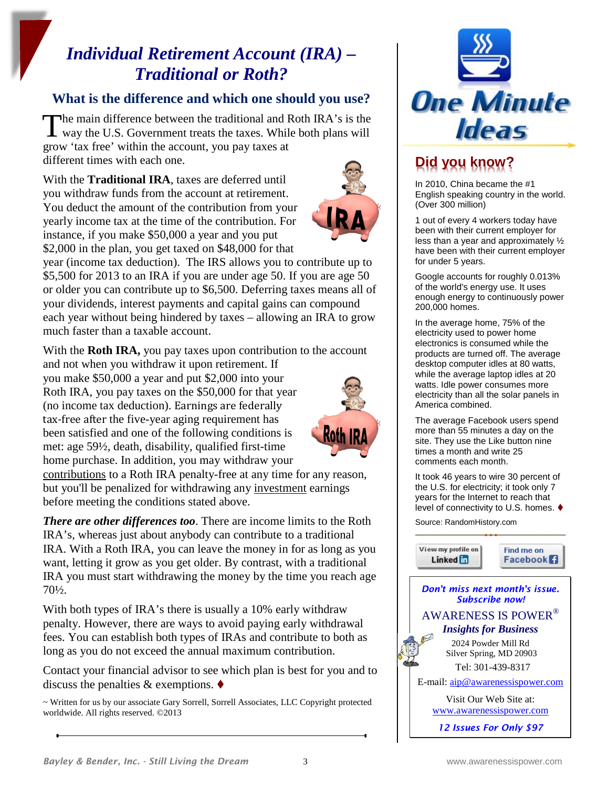# *Individual Retirement Account (IRA) – Traditional or Roth?*

## **What is the difference and which one should you use?**

**The main difference between the traditional and Roth IRA's is the** The main difference between the traditional and Roth IRA's is the way the U.S. Government treats the taxes. While both plans will grow 'tax free' within the account, you pay taxes at different times with each one.

With the **Traditional IRA**, taxes are deferred until you withdraw funds from the account at retirement. You deduct the amount of the contribution from your yearly income tax at the time of the contribution. For instance, if you make \$50,000 a year and you put \$2,000 in the plan, you get taxed on \$48,000 for that



year (income tax deduction). The IRS allows you to contribute up to \$5,500 for 2013 to an IRA if you are under age 50. If you are age 50 or older you can contribute up to \$6,500. Deferring taxes means all of your dividends, interest payments and capital gains can compound each year without being hindered by taxes – allowing an IRA to grow much faster than a taxable account.

With the **Roth IRA,** you pay taxes upon contribution to the account

and not when you withdraw it upon retirement. If you make \$50,000 a year and put \$2,000 into your Roth IRA, you pay taxes on the \$50,000 for that year (no income tax deduction). Earnings are federally tax-free after the five-year aging requirement has been satisfied and one of the following conditions is met: age 59½, death, disability, qualified first-time home purchase. In addition, you may withdraw your



contributions to a Roth IRA penalty-free at any time for any reason, but you'll be penalized for withdrawing any investment earnings before meeting the conditions stated above.

*There are other differences too*. There are income limits to the Roth IRA's, whereas just about anybody can contribute to a traditional IRA. With a Roth IRA, you can leave the money in for as long as you want, letting it grow as you get older. By contrast, with a traditional IRA you must start withdrawing the money by the time you reach age 70½.

With both types of IRA's there is usually a 10% early withdraw penalty. However, there are ways to avoid paying early withdrawal fees. You can establish both types of IRAs and contribute to both as long as you do not exceed the annual maximum contribution.

Contact your financial advisor to see which plan is best for you and to discuss the penalties & exemptions.  $\blacklozenge$ 

~ Written for us by our associate Gary Sorrell, Sorrell Associates, LLC Copyright protected worldwide. All rights reserved. ©2013



# **Did you know?**

In 2010, China became the #1 English speaking country in the world. (Over 300 million)

1 out of every 4 workers today have been with their current employer for less than a year and approximately ½ have been with their current employer for under 5 years.

Google accounts for roughly 0.013% of the world's energy use. It uses enough energy to continuously power 200,000 homes.

In the average home, 75% of the electricity used to power home electronics is consumed while the products are turned off. The average desktop computer idles at 80 watts, while the average laptop idles at 20 watts. Idle power consumes more electricity than all the solar panels in America combined.

The average Facebook users spend more than 55 minutes a day on the site. They use the Like button nine times a month and write 25 comments each month.

It took 46 years to wire 30 percent of the U.S. for electricity; it took only 7 years for the Internet to reach that level of connectivity to U.S. homes.

Source: RandomHistory.com

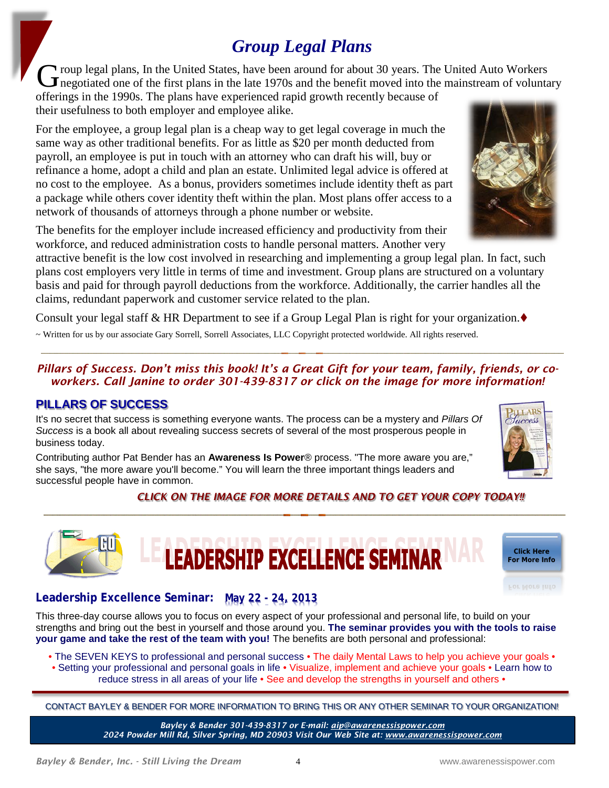# *Group Legal Plans*

**T** roup legal plans, In the United States, have been around for about 30 years. The United Auto Workers The United States, have been around for about 30 years. The United Auto Workers<br>
The gotiated one of the first plans in the late 1970s and the benefit moved into the mainstream of voluntary<br>
General at 1980.

offerings in the 1990s. The plans have experienced rapid growth recently because of their usefulness to both employer and employee alike.

For the employee, a group legal plan is a cheap way to get legal coverage in much the same way as other traditional benefits. For as little as \$20 per month deducted from payroll, an employee is put in touch with an attorney who can draft his will, buy or refinance a home, adopt a child and plan an estate. Unlimited legal advice is offered at no cost to the employee. As a bonus, providers sometimes include identity theft as part a package while others cover identity theft within the plan. Most plans offer access to a network of thousands of attorneys through a phone number or website.

The benefits for the employer include increased efficiency and productivity from their workforce, and reduced administration costs to handle personal matters. Another very

attractive benefit is the low cost involved in researching and implementing a group legal plan. In fact, such plans cost employers very little in terms of time and investment. Group plans are structured on a voluntary basis and paid for through payroll deductions from the workforce. Additionally, the carrier handles all the claims, redundant paperwork and customer service related to the plan.

Consult your legal staff  $\&$  HR Department to see if a Group Legal Plan is right for your organization.

~ Written for us by our associate Gary Sorrell, Sorrell Associates, LLC Copyright protected worldwide. All rights reserved.

*Pillars of Success. Don't miss this book! It's a Great Gift for your team, family, friends, or coworkers. Call Janine to order 301-439-8317 or click on the image for more information!*

# **PILLARS OF SUCCESS**

It's no secret that success is something everyone wants. The process can be a mystery and *Pillars Of Success* is a book all about revealing success secrets of several of the most prosperous people in business today.

Contributing author Pat Bender has an **Awareness Is Power**® process. "The more aware you are," she says, "the more aware you'll become." You will learn the three important things leaders and successful people have in common.

 *CLICK ON THE IMAGE FOR MORE DETAILS AND TO GET YOUR COPY TODAY!!*

# **Leadership Excellence Seminar: May 22 - 24, 2013**

This three-day course a[llows you to focus on every aspect of your professional and personal life, to build on your](http://www.awarenessispower.com/NEWAIPPeExc.html)  strengths and bring out the best in yourself and those around you. **The seminar provides you with the tools to raise your game and take the rest of the team with you!** The benefits are both personal and professional:

• The SEVEN KEYS to professional and personal success • The daily Mental Laws to help you achieve your goals •

**LEADERSHIP EXCELLENCE SEMINAR** 

- Setting your professional and personal goals in life Visualize, implement and achieve your goals Learn how to reduce stress in all areas of your life • See and develop the strengths in yourself and others •
	-

CONTACT BAYLEY & BENDER FOR MORE INFORMATION TO BRING THIS OR ANY OTHER SEMINAR TO YOUR ORGANIZATION!

*Bayley & Bender 301-439-8317 or E-mail[: aip@awarenessispower.com](mailto:aip@awarenessispower.com) 2024 Powder Mill Rd, Silver Spring, MD 20903 Visit Our Web Site at: [www.awarenessispower.com](http://www.awarenessispower.com/)*





**Click Here [For More Info](http://www.awarenessispower.com/NEWAIPPeExc.html)**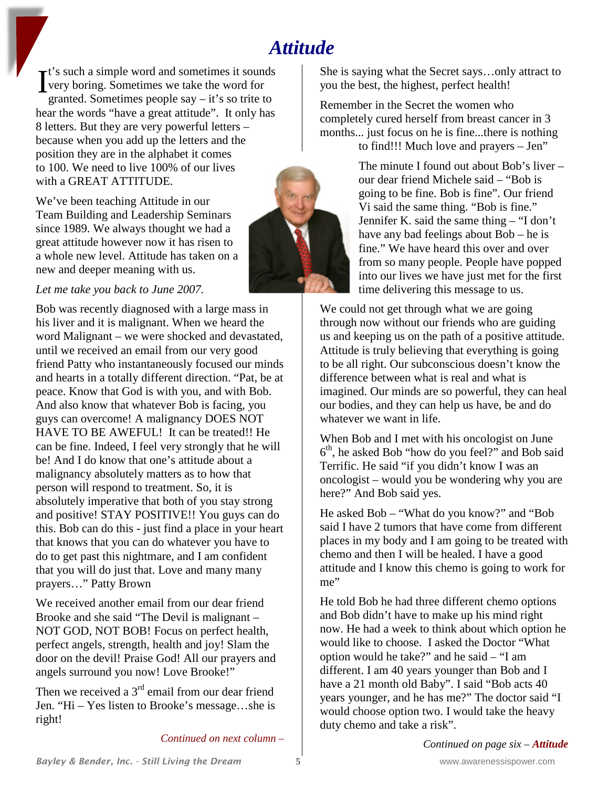# *Attitude*

 $\mathbf{r}$ t's such a simple word and sometimes it sounds very boring. Sometimes we take the word for granted. Sometimes people say – it's so trite to hear the words "have a great attitude". It only has 8 letters. But they are very powerful letters – because when you add up the letters and the position they are in the alphabet it comes to 100. We need to live 100% of our lives with a GREAT ATTITUDE. I

We've been teaching Attitude in our Team Building and Leadership Seminars since 1989. We always thought we had a great attitude however now it has risen to a whole new level. Attitude has taken on a new and deeper meaning with us.

## *Let me take you back to June 2007.*

Bob was recently diagnosed with a large mass in his liver and it is malignant. When we heard the word Malignant – we were shocked and devastated, until we received an email from our very good friend Patty who instantaneously focused our minds and hearts in a totally different direction. "Pat, be at peace. Know that God is with you, and with Bob. And also know that whatever Bob is facing, you guys can overcome! A malignancy DOES NOT HAVE TO BE AWEFUL! It can be treated!! He can be fine. Indeed, I feel very strongly that he will be! And I do know that one's attitude about a malignancy absolutely matters as to how that person will respond to treatment. So, it is absolutely imperative that both of you stay strong and positive! STAY POSITIVE!! You guys can do this. Bob can do this - just find a place in your heart that knows that you can do whatever you have to do to get past this nightmare, and I am confident that you will do just that. Love and many many prayers…" Patty Brown

We received another email from our dear friend Brooke and she said "The Devil is malignant – NOT GOD, NOT BOB! Focus on perfect health, perfect angels, strength, health and joy! Slam the door on the devil! Praise God! All our prayers and angels surround you now! Love Brooke!"

Then we received a  $3<sup>rd</sup>$  email from our dear friend Jen. "Hi – Yes listen to Brooke's message…she is right!

*Continued on next column –*

She is saying what the Secret says…only attract to you the best, the highest, perfect health!

Remember in the Secret the women who completely cured herself from breast cancer in 3 months... just focus on he is fine...there is nothing to find!!! Much love and prayers – Jen"



The minute I found out about Bob's liver – our dear friend Michele said – "Bob is going to be fine. Bob is fine". Our friend Vi said the same thing. "Bob is fine." Jennifer K. said the same thing – "I don't have any bad feelings about Bob – he is fine." We have heard this over and over from so many people. People have popped into our lives we have just met for the first time delivering this message to us.

We could not get through what we are going through now without our friends who are guiding us and keeping us on the path of a positive attitude. Attitude is truly believing that everything is going to be all right. Our subconscious doesn't know the difference between what is real and what is imagined. Our minds are so powerful, they can heal our bodies, and they can help us have, be and do whatever we want in life.

When Bob and I met with his oncologist on June  $6<sup>th</sup>$ , he asked Bob "how do you feel?" and Bob said Terrific. He said "if you didn't know I was an oncologist – would you be wondering why you are here?" And Bob said yes.

He asked Bob – "What do you know?" and "Bob said I have 2 tumors that have come from different places in my body and I am going to be treated with chemo and then I will be healed. I have a good attitude and I know this chemo is going to work for me"

He told Bob he had three different chemo options and Bob didn't have to make up his mind right now. He had a week to think about which option he would like to choose. I asked the Doctor "What option would he take?" and he said – "I am different. I am 40 years younger than Bob and I have a 21 month old Baby". I said "Bob acts 40 years younger, and he has me?" The doctor said "I would choose option two. I would take the heavy duty chemo and take a risk".

*Continued on page six – Attitude*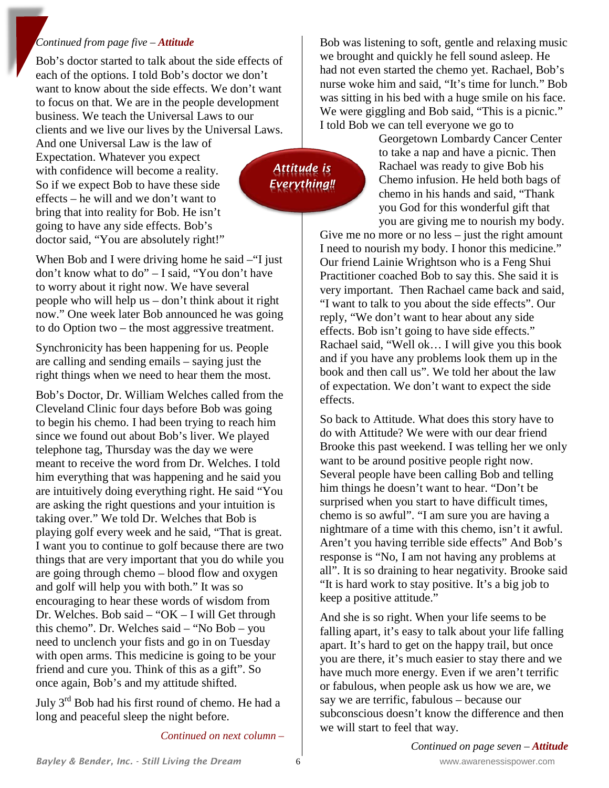#### *Continued from page five – Attitude*

Bob's doctor started to talk about the side effects of each of the options. I told Bob's doctor we don't want to know about the side effects. We don't want to focus on that. We are in the people development business. We teach the Universal Laws to our clients and we live our lives by the Universal Laws. And one Universal Law is the law of Expectation. Whatever you expect

with confidence will become a reality. So if we expect Bob to have these side effects – he will and we don't want to bring that into reality for Bob. He isn't going to have any side effects. Bob's doctor said, "You are absolutely right!"

When Bob and I were driving home he said – "I just" don't know what to do" – I said, "You don't have to worry about it right now. We have several people who will help us – don't think about it right now." One week later Bob announced he was going to do Option two – the most aggressive treatment.

Synchronicity has been happening for us. People are calling and sending emails – saying just the right things when we need to hear them the most.

Bob's Doctor, Dr. William Welches called from the Cleveland Clinic four days before Bob was going to begin his chemo. I had been trying to reach him since we found out about Bob's liver. We played telephone tag, Thursday was the day we were meant to receive the word from Dr. Welches. I told him everything that was happening and he said you are intuitively doing everything right. He said "You are asking the right questions and your intuition is taking over." We told Dr. Welches that Bob is playing golf every week and he said, "That is great. I want you to continue to golf because there are two things that are very important that you do while you are going through chemo – blood flow and oxygen and golf will help you with both." It was so encouraging to hear these words of wisdom from Dr. Welches. Bob said – "OK – I will Get through this chemo". Dr. Welches said – "No Bob – you need to unclench your fists and go in on Tuesday with open arms. This medicine is going to be your friend and cure you. Think of this as a gift". So once again, Bob's and my attitude shifted.

July  $3<sup>rd</sup>$  Bob had his first round of chemo. He had a long and peaceful sleep the night before.

*Continued on next column –*

Bob was listening to soft, gentle and relaxing music we brought and quickly he fell sound asleep. He had not even started the chemo yet. Rachael, Bob's nurse woke him and said, "It's time for lunch." Bob was sitting in his bed with a huge smile on his face. We were giggling and Bob said, "This is a picnic." I told Bob we can tell everyone we go to

Georgetown Lombardy Cancer Center to take a nap and have a picnic. Then Rachael was ready to give Bob his Chemo infusion. He held both bags of chemo in his hands and said, "Thank you God for this wonderful gift that you are giving me to nourish my body.

Give me no more or no less – just the right amount I need to nourish my body. I honor this medicine." Our friend Lainie Wrightson who is a Feng Shui Practitioner coached Bob to say this. She said it is very important. Then Rachael came back and said, "I want to talk to you about the side effects". Our reply, "We don't want to hear about any side effects. Bob isn't going to have side effects." Rachael said, "Well ok… I will give you this book and if you have any problems look them up in the book and then call us". We told her about the law of expectation. We don't want to expect the side effects.

So back to Attitude. What does this story have to do with Attitude? We were with our dear friend Brooke this past weekend. I was telling her we only want to be around positive people right now. Several people have been calling Bob and telling him things he doesn't want to hear. "Don't be surprised when you start to have difficult times, chemo is so awful". "I am sure you are having a nightmare of a time with this chemo, isn't it awful. Aren't you having terrible side effects" And Bob's response is "No, I am not having any problems at all". It is so draining to hear negativity. Brooke said "It is hard work to stay positive. It's a big job to keep a positive attitude."

And she is so right. When your life seems to be falling apart, it's easy to talk about your life falling apart. It's hard to get on the happy trail, but once you are there, it's much easier to stay there and we have much more energy. Even if we aren't terrific or fabulous, when people ask us how we are, we say we are terrific, fabulous – because our subconscious doesn't know the difference and then we will start to feel that way.

*Bayley & Bender, Inc. - Still Living the Dream* 6 www.awarenessispower.com

*Attitude is Everything!!*